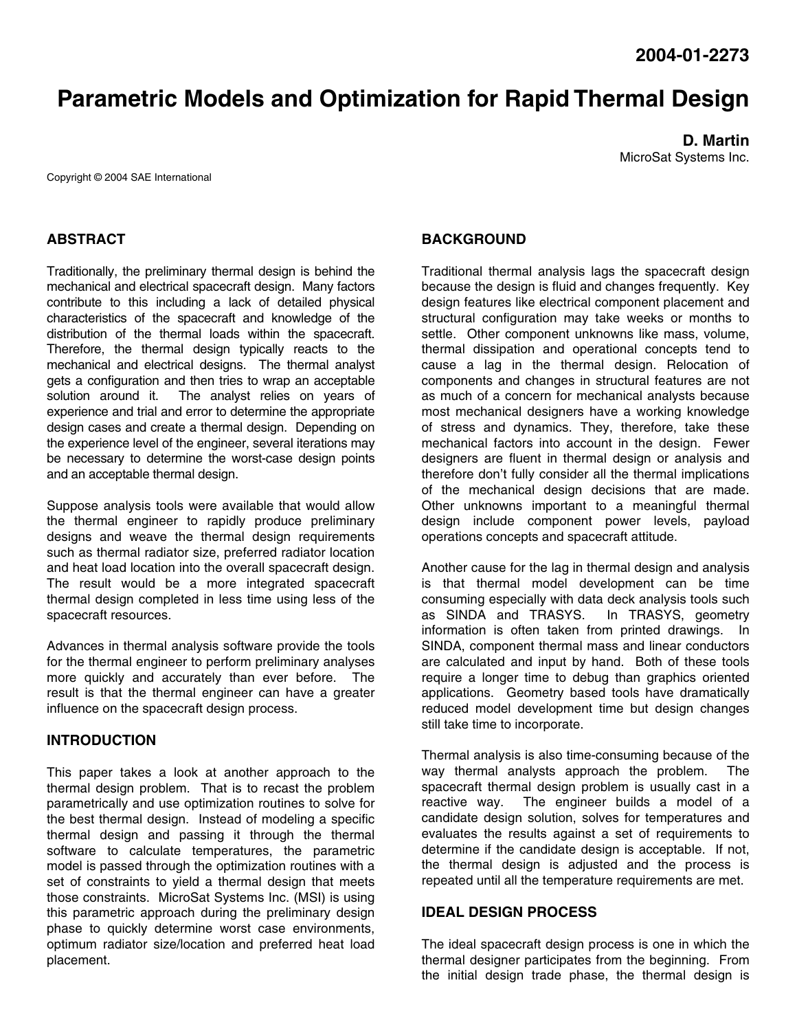# **Parametric Models and Optimization for Rapid Thermal Design**

**D. Martin**  MicroSat Systems Inc.

Copyright © 2004 SAE International

## **ABSTRACT**

Traditionally, the preliminary thermal design is behind the mechanical and electrical spacecraft design. Many factors contribute to this including a lack of detailed physical characteristics of the spacecraft and knowledge of the distribution of the thermal loads within the spacecraft. Therefore, the thermal design typically reacts to the mechanical and electrical designs. The thermal analyst gets a configuration and then tries to wrap an acceptable solution around it. The analyst relies on years of experience and trial and error to determine the appropriate design cases and create a thermal design. Depending on the experience level of the engineer, several iterations may be necessary to determine the worst-case design points and an acceptable thermal design.

Suppose analysis tools were available that would allow the thermal engineer to rapidly produce preliminary designs and weave the thermal design requirements such as thermal radiator size, preferred radiator location and heat load location into the overall spacecraft design. The result would be a more integrated spacecraft thermal design completed in less time using less of the spacecraft resources.

Advances in thermal analysis software provide the tools for the thermal engineer to perform preliminary analyses more quickly and accurately than ever before. The result is that the thermal engineer can have a greater influence on the spacecraft design process.

#### **INTRODUCTION**

This paper takes a look at another approach to the thermal design problem. That is to recast the problem parametrically and use optimization routines to solve for the best thermal design. Instead of modeling a specific thermal design and passing it through the thermal software to calculate temperatures, the parametric model is passed through the optimization routines with a set of constraints to yield a thermal design that meets those constraints. MicroSat Systems Inc. (MSI) is using this parametric approach during the preliminary design phase to quickly determine worst case environments, optimum radiator size/location and preferred heat load placement.

### **BACKGROUND**

Traditional thermal analysis lags the spacecraft design because the design is fluid and changes frequently. Key design features like electrical component placement and structural configuration may take weeks or months to settle. Other component unknowns like mass, volume, thermal dissipation and operational concepts tend to cause a lag in the thermal design. Relocation of components and changes in structural features are not as much of a concern for mechanical analysts because most mechanical designers have a working knowledge of stress and dynamics. They, therefore, take these mechanical factors into account in the design. Fewer designers are fluent in thermal design or analysis and therefore don't fully consider all the thermal implications of the mechanical design decisions that are made. Other unknowns important to a meaningful thermal design include component power levels, payload operations concepts and spacecraft attitude.

Another cause for the lag in thermal design and analysis is that thermal model development can be time consuming especially with data deck analysis tools such as SINDA and TRASYS. In TRASYS, geometry information is often taken from printed drawings. In SINDA, component thermal mass and linear conductors are calculated and input by hand. Both of these tools require a longer time to debug than graphics oriented applications. Geometry based tools have dramatically reduced model development time but design changes still take time to incorporate.

Thermal analysis is also time-consuming because of the way thermal analysts approach the problem. The spacecraft thermal design problem is usually cast in a reactive way. The engineer builds a model of a candidate design solution, solves for temperatures and evaluates the results against a set of requirements to determine if the candidate design is acceptable. If not, the thermal design is adjusted and the process is repeated until all the temperature requirements are met.

#### **IDEAL DESIGN PROCESS**

The ideal spacecraft design process is one in which the thermal designer participates from the beginning. From the initial design trade phase, the thermal design is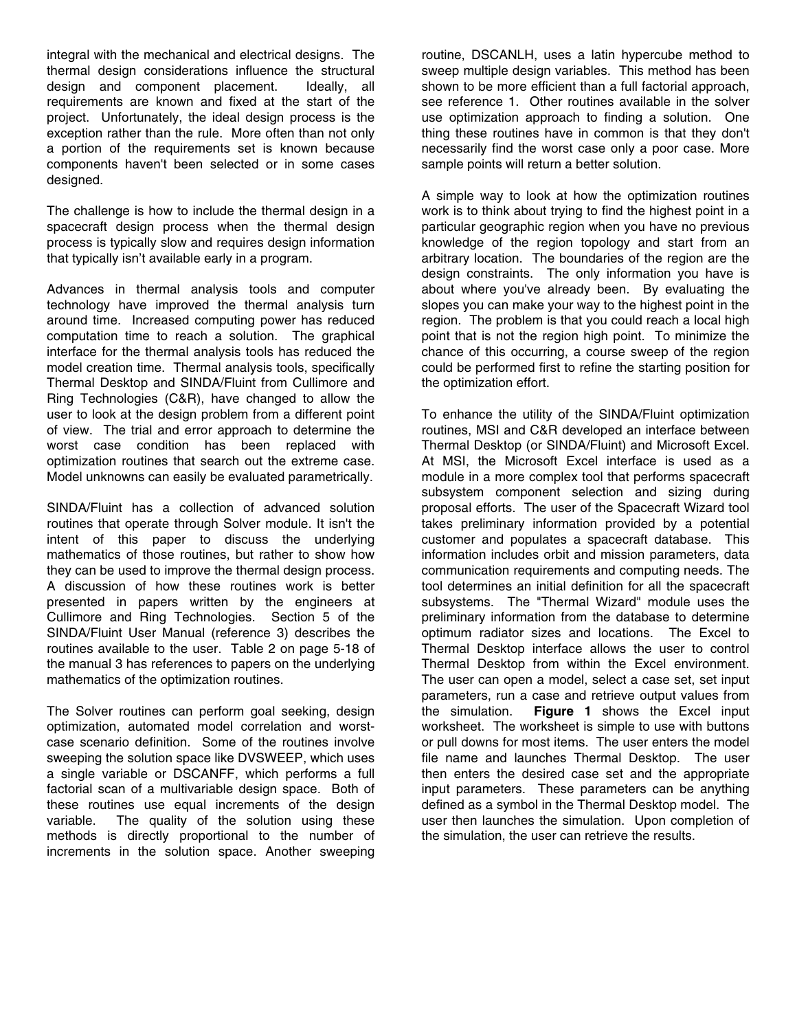integral with the mechanical and electrical designs. The thermal design considerations influence the structural design and component placement. Ideally, all requirements are known and fixed at the start of the project. Unfortunately, the ideal design process is the exception rather than the rule. More often than not only a portion of the requirements set is known because components haven't been selected or in some cases designed.

The challenge is how to include the thermal design in a spacecraft design process when the thermal design process is typically slow and requires design information that typically isn't available early in a program.

Advances in thermal analysis tools and computer technology have improved the thermal analysis turn around time. Increased computing power has reduced computation time to reach a solution. The graphical interface for the thermal analysis tools has reduced the model creation time. Thermal analysis tools, specifically Thermal Desktop and SINDA/Fluint from Cullimore and Ring Technologies (C&R), have changed to allow the user to look at the design problem from a different point of view. The trial and error approach to determine the worst case condition has been replaced with optimization routines that search out the extreme case. Model unknowns can easily be evaluated parametrically.

SINDA/Fluint has a collection of advanced solution routines that operate through Solver module. It isn't the intent of this paper to discuss the underlying mathematics of those routines, but rather to show how they can be used to improve the thermal design process. A discussion of how these routines work is better presented in papers written by the engineers at Cullimore and Ring Technologies. Section 5 of the SINDA/Fluint User Manual (reference 3) describes the routines available to the user. Table 2 on page 5-18 of the manual 3 has references to papers on the underlying mathematics of the optimization routines.

The Solver routines can perform goal seeking, design optimization, automated model correlation and worstcase scenario definition. Some of the routines involve sweeping the solution space like DVSWEEP, which uses a single variable or DSCANFF, which performs a full factorial scan of a multivariable design space. Both of these routines use equal increments of the design variable. The quality of the solution using these methods is directly proportional to the number of increments in the solution space. Another sweeping

routine, DSCANLH, uses a latin hypercube method to sweep multiple design variables. This method has been shown to be more efficient than a full factorial approach, see reference 1. Other routines available in the solver use optimization approach to finding a solution. One thing these routines have in common is that they don't necessarily find the worst case only a poor case. More sample points will return a better solution.

A simple way to look at how the optimization routines work is to think about trying to find the highest point in a particular geographic region when you have no previous knowledge of the region topology and start from an arbitrary location. The boundaries of the region are the design constraints. The only information you have is about where you've already been. By evaluating the slopes you can make your way to the highest point in the region. The problem is that you could reach a local high point that is not the region high point. To minimize the chance of this occurring, a course sweep of the region could be performed first to refine the starting position for the optimization effort.

To enhance the utility of the SINDA/Fluint optimization routines, MSI and C&R developed an interface between Thermal Desktop (or SINDA/Fluint) and Microsoft Excel. At MSI, the Microsoft Excel interface is used as a module in a more complex tool that performs spacecraft subsystem component selection and sizing during proposal efforts. The user of the Spacecraft Wizard tool takes preliminary information provided by a potential customer and populates a spacecraft database. This information includes orbit and mission parameters, data communication requirements and computing needs. The tool determines an initial definition for all the spacecraft subsystems. The "Thermal Wizard" module uses the preliminary information from the database to determine optimum radiator sizes and locations. The Excel to Thermal Desktop interface allows the user to control Thermal Desktop from within the Excel environment. The user can open a model, select a case set, set input parameters, run a case and retrieve output values from the simulation. **Figure 1** shows the Excel input worksheet. The worksheet is simple to use with buttons or pull downs for most items. The user enters the model file name and launches Thermal Desktop. The user then enters the desired case set and the appropriate input parameters. These parameters can be anything defined as a symbol in the Thermal Desktop model. The user then launches the simulation. Upon completion of the simulation, the user can retrieve the results.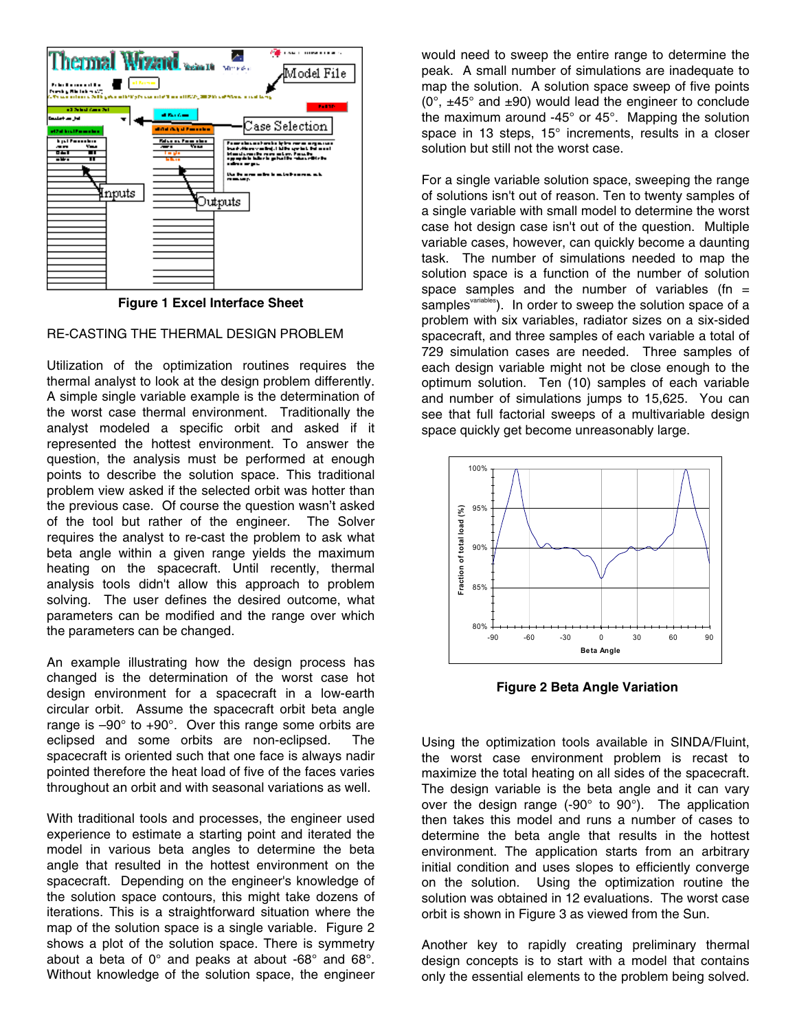

**Figure 1 Excel Interface Sheet** 

#### RE-CASTING THE THERMAL DESIGN PROBLEM

Utilization of the optimization routines requires the thermal analyst to look at the design problem differently. A simple single variable example is the determination of the worst case thermal environment. Traditionally the analyst modeled a specific orbit and asked if it represented the hottest environment. To answer the question, the analysis must be performed at enough points to describe the solution space. This traditional problem view asked if the selected orbit was hotter than the previous case. Of course the question wasn't asked of the tool but rather of the engineer. The Solver requires the analyst to re-cast the problem to ask what beta angle within a given range yields the maximum heating on the spacecraft. Until recently, thermal analysis tools didn't allow this approach to problem solving. The user defines the desired outcome, what parameters can be modified and the range over which the parameters can be changed.

An example illustrating how the design process has changed is the determination of the worst case hot design environment for a spacecraft in a low-earth circular orbit. Assume the spacecraft orbit beta angle range is  $-90^\circ$  to  $+90^\circ$ . Over this range some orbits are eclipsed and some orbits are non-eclipsed. The spacecraft is oriented such that one face is always nadir pointed therefore the heat load of five of the faces varies throughout an orbit and with seasonal variations as well.

With traditional tools and processes, the engineer used experience to estimate a starting point and iterated the model in various beta angles to determine the beta angle that resulted in the hottest environment on the spacecraft. Depending on the engineer's knowledge of the solution space contours, this might take dozens of iterations. This is a straightforward situation where the map of the solution space is a single variable. Figure 2 shows a plot of the solution space. There is symmetry about a beta of 0° and peaks at about -68° and 68°. Without knowledge of the solution space, the engineer

would need to sweep the entire range to determine the peak. A small number of simulations are inadequate to map the solution. A solution space sweep of five points  $(0^{\circ}, \pm 45^{\circ})$  and  $\pm 90$ ) would lead the engineer to conclude the maximum around -45° or 45°. Mapping the solution space in 13 steps, 15° increments, results in a closer solution but still not the worst case.

For a single variable solution space, sweeping the range of solutions isn't out of reason. Ten to twenty samples of a single variable with small model to determine the worst case hot design case isn't out of the question. Multiple variable cases, however, can quickly become a daunting task. The number of simulations needed to map the solution space is a function of the number of solution space samples and the number of variables (fn  $=$ samples<sup>variables</sup>). In order to sweep the solution space of a problem with six variables, radiator sizes on a six-sided spacecraft, and three samples of each variable a total of 729 simulation cases are needed. Three samples of each design variable might not be close enough to the optimum solution. Ten (10) samples of each variable and number of simulations jumps to 15,625. You can see that full factorial sweeps of a multivariable design space quickly get become unreasonably large.



 **Figure 2 Beta Angle Variation** 

Using the optimization tools available in SINDA/Fluint, the worst case environment problem is recast to maximize the total heating on all sides of the spacecraft. The design variable is the beta angle and it can vary over the design range (-90° to 90°). The application then takes this model and runs a number of cases to determine the beta angle that results in the hottest environment. The application starts from an arbitrary initial condition and uses slopes to efficiently converge on the solution. Using the optimization routine the solution was obtained in 12 evaluations. The worst case orbit is shown in Figure 3 as viewed from the Sun.

Another key to rapidly creating preliminary thermal design concepts is to start with a model that contains only the essential elements to the problem being solved.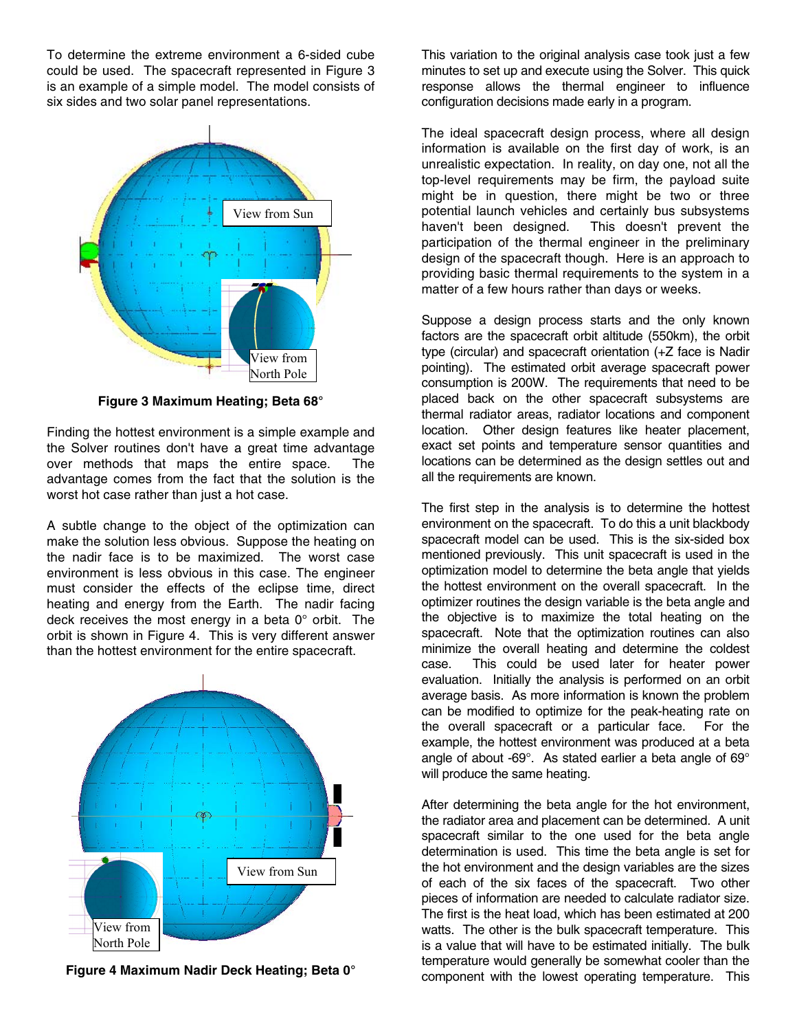To determine the extreme environment a 6-sided cube could be used. The spacecraft represented in Figure 3 is an example of a simple model. The model consists of six sides and two solar panel representations.



**Figure 3 Maximum Heating; Beta 68°** 

Finding the hottest environment is a simple example and the Solver routines don't have a great time advantage over methods that maps the entire space. The advantage comes from the fact that the solution is the worst hot case rather than just a hot case.

A subtle change to the object of the optimization can make the solution less obvious. Suppose the heating on the nadir face is to be maximized. The worst case environment is less obvious in this case. The engineer must consider the effects of the eclipse time, direct heating and energy from the Earth. The nadir facing deck receives the most energy in a beta 0° orbit. The orbit is shown in Figure 4. This is very different answer than the hottest environment for the entire spacecraft.



**Figure 4 Maximum Nadir Deck Heating; Beta 0°** 

This variation to the original analysis case took just a few minutes to set up and execute using the Solver. This quick response allows the thermal engineer to influence configuration decisions made early in a program.

The ideal spacecraft design process, where all design information is available on the first day of work, is an unrealistic expectation. In reality, on day one, not all the top-level requirements may be firm, the payload suite might be in question, there might be two or three potential launch vehicles and certainly bus subsystems haven't been designed. This doesn't prevent the participation of the thermal engineer in the preliminary design of the spacecraft though. Here is an approach to providing basic thermal requirements to the system in a matter of a few hours rather than days or weeks.

Suppose a design process starts and the only known factors are the spacecraft orbit altitude (550km), the orbit type (circular) and spacecraft orientation (+Z face is Nadir pointing). The estimated orbit average spacecraft power consumption is 200W. The requirements that need to be placed back on the other spacecraft subsystems are thermal radiator areas, radiator locations and component location. Other design features like heater placement, exact set points and temperature sensor quantities and locations can be determined as the design settles out and all the requirements are known.

The first step in the analysis is to determine the hottest environment on the spacecraft. To do this a unit blackbody spacecraft model can be used. This is the six-sided box mentioned previously. This unit spacecraft is used in the optimization model to determine the beta angle that yields the hottest environment on the overall spacecraft. In the optimizer routines the design variable is the beta angle and the objective is to maximize the total heating on the spacecraft. Note that the optimization routines can also minimize the overall heating and determine the coldest case. This could be used later for heater power evaluation. Initially the analysis is performed on an orbit average basis. As more information is known the problem can be modified to optimize for the peak-heating rate on the overall spacecraft or a particular face. For the example, the hottest environment was produced at a beta angle of about -69°. As stated earlier a beta angle of 69° will produce the same heating.

After determining the beta angle for the hot environment, the radiator area and placement can be determined. A unit spacecraft similar to the one used for the beta angle determination is used. This time the beta angle is set for the hot environment and the design variables are the sizes of each of the six faces of the spacecraft. Two other pieces of information are needed to calculate radiator size. The first is the heat load, which has been estimated at 200 watts. The other is the bulk spacecraft temperature. This is a value that will have to be estimated initially. The bulk temperature would generally be somewhat cooler than the component with the lowest operating temperature. This